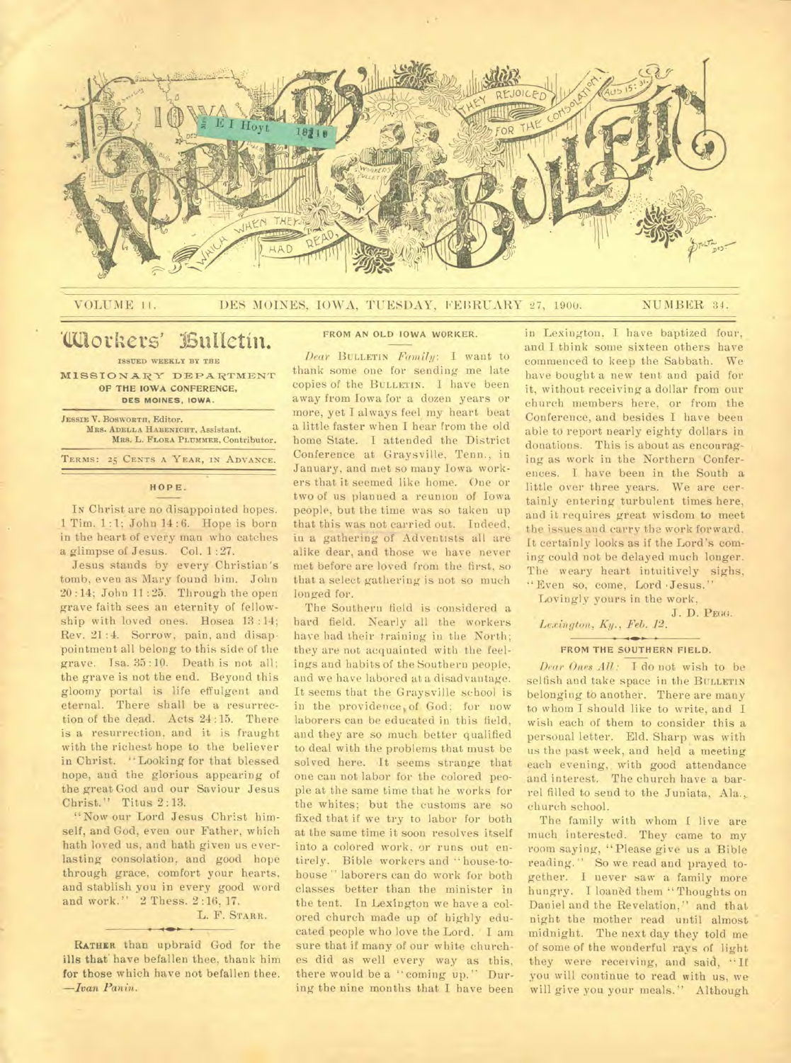

#### VOLUME 11. DES MOINES, IOWA, TUESDAY, FEBRUARY 27, 1900. NUMBER 34.

# 'Workers' ISulictin.

**ISSUED WEEKLY BY THE MISSIONARY DEPARTMENT OF THE IOWA CONFERENCE, DES MOINES. IOWA.** 

**JESSIE V. BOSWORTH, Editor. MRS. ADELLA HABENICHT. Assistant. Mae. L.** FLORA PLUMMER, **Contributor.**  TERMS: 25 CENTS A YEAR, IN ADVANCE.

#### **HOPE.**

In Christ are no disappointed hopes. 1 Tim. 1 :1; John 14 : 6. Hope is born in the heart of every man who catches a glimpse of Jesus. Col. 1 :27.

Jesus stands by every Christian's tomb, even as Mary found him. John 20 :14; John 11 :25. Through the open grave faith sees an eternity of fellowship with loved ones. Hosea 13 :14; Rev. 21 :4. Sorrow, pain, and disappointment all belong to this side of the grave. Isa. 35:10. Death is not all; the grave is not the end. Beyond this gloomy portal is life effulgent and eternal. There shall be a resurrection of the dead. Acts 24 :15. There is a resurrection, and it is fraught with the richest hope to the believer in Christ. "Looking for that blessed hope, and the glorious appearing of the great God and our Saviour Jesus Christ." Titus 2:13.

"Now our Lord Jesus Christ himself, and God, even our Father, which hath loved us, and bath given us everlasting consolation, and good hope through grace, comfort your hearts, and stablish you in every good word and work." 2 Thess. 2:16, 17.

# L. F. **STARR.**

**RATHIR** than upbraid God for the ills that have befallen thee, thank him for those which have not befallen thee. *—Ivan Panin.* 

#### **FROM AN OLD IOWA WORKER.**

*Dear* BULLETIN *Family*: I want to thank some one for sending me late copies of the **BULLETIN.** I have been away from Iowa for a dozen years or more, yet I always feel my heart beat a little faster when I hear from the old home State. I attended the District Conference at Graysville, Tenn., in January, and met so many Iowa workers that it seemed like home. One or two of us planned a reunion of Iowa people, but the time was so taken up that this was not carried out. Indeed, in a gathering of Adventists all are alike dear, and those we have never met before are loved from the first, so that a select gathering is not so much longed for.

The Southern field is considered a hard field. Nearly all the workers have had their training in the North; they are not acquainted with the feelings and habits of the Southern people, and we have labored at a disadvantage. It seems that the Graysville school is in the providence of God; for now laborers can be educated in this field, and they are so much better qualified to deal with the problems that must be solved here. It seems strange that one can not labor for the colored people at the same time that he works for the whites; but the customs are so fixed that if we try to labor for both at the same time it soon resolves itself into a colored work, or runs out entirely. Bible workers and "house-tohouse " laborers can do work for both classes better than the minister in the tent. In Lexington we have a colored church made up of highly educated people who love the Lord. I am sure that if many of our white churches did as well every way as this, there would be a "coming up." During the nine months that I have been in Lexington, I have baptized four, and I think some sixteen others have commenced to keep the Sabbath. We have bought a new tent and paid for it, without receiving a dollar from our church members here, or from the Conference, and besides I have been able to report nearly eighty dollars in donations. This is about as encouraging as work in the Northern Conferences. I have been in the South a little over three years. We are certainly entering turbulent times here, and it requires great wisdom to meet the issues and carry the work forward. It certainly looks as if the Lord's coming could not be delayed much longer. The weary heart intuitively sighs, "Even so, come, Lord 'Jesus."

Lovingly yours in the work,

J. D. **PEGO.** 

# *Lexington, Ky., Feb. 12.*

#### **FROM THE SOUTHERN FIELD.**

*Dear Ones All: I do* not wish to be selfish and take space in the **BULLETIN**  belonging to another. There are many to whom I should like to write, and I wish each of them to consider this a personal letter. Eld. Sharp was with us the past week, and held a meeting each evening, with good attendance and interest. The church have a barrel filled to send to the Juniata, Ala.,. church school.

The family with whom I live are much interested. They came to my room saying, "Please give us a Bible reading." So we read and prayed together. I never saw a family more hungry. I loaned them "Thoughts on Daniel and the Revelation." and that night the mother read until almost midnight. The next day they told me of some of the wonderful rays of light they were receiving, and said, "If you will continue to read with us, we will give you your meals." Although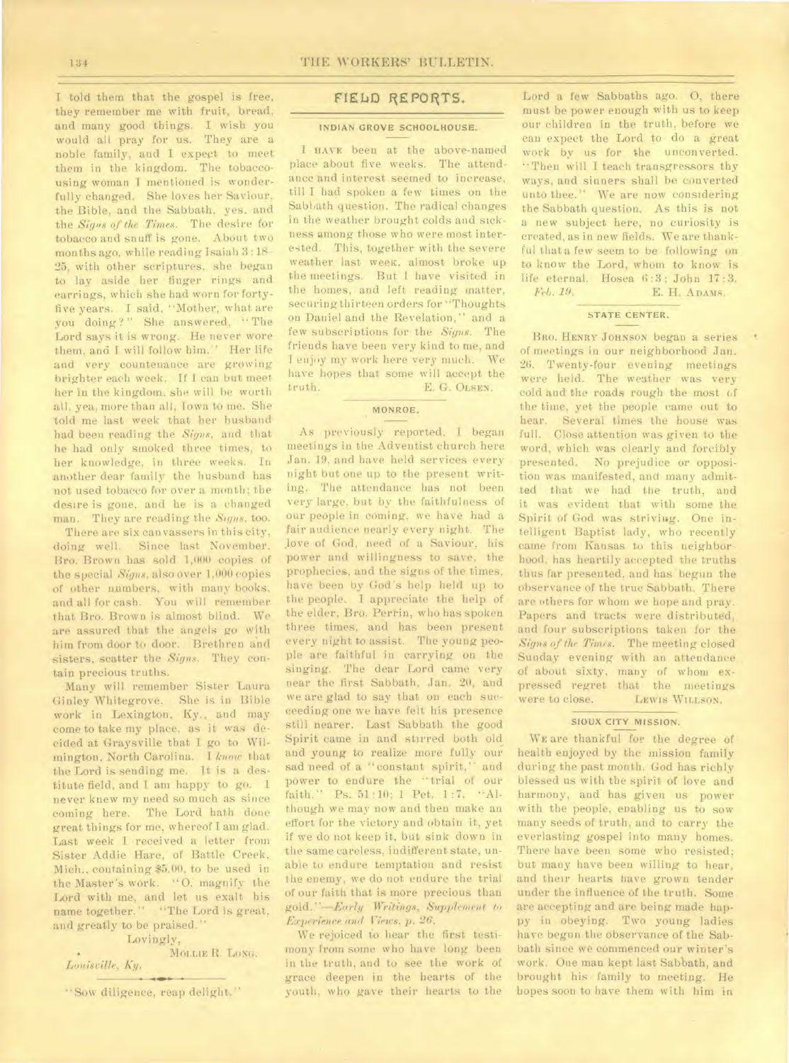I told them that the gospel is free, they remember me with fruit, bread, and many good things. I wish you would all pray for us. They are a noble family, and I expect to meet them in the kingdom. The tobaccousing woman I mentioned is wonderfully changed. She loves her Saviour, the Bible, and the Sabbath, yes. and the *Signs of the Times.* The desire for tobacco and snuff is gone. About two months ago, while reading Isaiah 3 : 18- 25, with other scriptures, she began to lay aside her finger rings and earrings, which she had worn for fortyfive years. I said, "Mother, what are you doing?" She answered, "The Lord says it is wrong. He never wore them, and I will follow him." Her life and very countenance are growing brighter each week. If I can but meet her in the kingdom. she will be worth all, yea, more than all, Iowa to me. She told me last week that her husband had been reading the *Signs,* and that he had only smoked three times, to her knowledge, in three weeks. In another dear family the husband has not used tobacco for over a month; the desire is gone, and he is a changed man. They are reading the *Signs,* too.

There are six can vassers in this city, doing well. Since last November, Bro. Brown has sold 1,000 copies of the special *Signs,* also over 1,000 copies of other numbers, with many books, and all for cash. You will remember that Bro. Brown is almost blind. We are assured that the angels go with him from door to door. Brethren and sisters, scatter the *Signs.* They contain precious truths.

Many will remember Sister Laura Ginley Whitegrove. She is in Bible work in Lexington, Ky., and may come to take my place, as it was decided at Graysville that I go to Wilmington, North Carolina. I *know* that the Lord is sending me. It is a destitute field, and I am happy to go. I never knew my need so much as since coming here. The Lord hath done great things for me, whereof I am glad. Last week I received a letter from Sister Addie Hare, of Battle Creek, Mich., containing \$5.00, to be used in the Master's work. "0. magnify the Lord with me, and let us exalt his name together." "The Lord is great, and greatly to be praised."

#### Lovingly,

MOLLIE R. LONG. *Louisville,* A'1.

"Sow diligence, reap delight."

## **FIELD REPORTS.**

#### INDIAN GROVE SCHOOLHOUSE.

I HAVE been at the above-named place about five weeks. The attendance and interest seemed to increase, till I had spoken a few times on the Sabbath question. The radical changes in the weather brought colds and sickness among those who were most interested. This, together with the severe weather last week, almost broke up the meetings. But 1 have visited in the homes, and left reading matter, securing thirteen orders for "Thoughts on Daniel and the Revelation," and a few subscriptions for the *Signs.* The friends have been very kind to me, and I enjoy my work here very much. We have hopes that some will accept the<br>truth. E. G. OLSEN. E. G. OLSEN.

### MONROE.

As previously reported, I began meetings in the Adventist church here Jan. 19, and have held services every night but one up to the present writing. The attendance has not been very large, but by the faithfulness of our people in coming, we have had a fair audience nearly every night. The Jove of God, need of a Saviour, his power and willingness to save, the prophecies, and the signs of the times, have been by God's help held up to the people. I appreciate the help of the elder, Bro. Perrin, who has spoken three times, and has been present every night to assist. The young people are faithful in carrying on the singing. The dear Lord came very near the first Sabbath, Jan. 20, and we are glad to say that on each succeeding one we have felt his presence still nearer. Last Sabbath the good Spirit came in and stirred both old and young to realize more fully our sad need of a "constant spirit," and power to endure the "trial of our faith." Ps. 51 :10; 1 Pet. 1:7. "Although we may now and then make an effort for the victory and obtain it, yet if we do not keep it, but sink down in the same careless, indifferent state, unable to endure temptation and resist the enemy, we do not endure the trial of our faith that is more precious than *gold. "—Early Writings, Supplement to Experience and Views. p. 26.* 

We rejoiced to hear the first testimony from some who have long been in the truth, and to see the work of grace deepen in the hearts of the youth, who gave their hearts to the

Lord a few Sabbaths ago. 0, there must be power enough with us to keep our children in the truth, before we can expect the Lord to do a great work by us for the unconverted. "Then will I teach transgressors thy ways, and sinners shall be converted unto thee." We are now considering the Sabbath question. As this is not a new subject here, no curiosity is created, as in new fields. We are thankful that a few seem to be following on to know the Lord, whom to know is life eternal. Hosea 6:3; John 17:3.<br>
Feb. 19. E. H. ADAMS. *Feb. 19.* E. H. ADAMS.

#### STATE CENTER.

BRO. HENRY JOHNSON began a series of meetings in our neighborhood Jan. 26. Twenty-four evening meetings were held. The weather was very cold and the roads rough the most of the time, yet the people came out to hear. Several times the house was full. Close attention was given to the word, which was clearly and forcibly presented. No prejudice or opposition was manifested, and many admitted that we had the truth, and it was evident that with some the Spirit of God was striving. One intelligent Baptist lady, who recently came from Kansas to this neighborhood. has heartily accepted the truths thus far presented, and has begun the observance of the true Sabbath. There are others for whom we hope and pray. Papers and tracts were distributed, and four subscriptions taken for the *Signs of the Times.* The meeting closed Sunday evening with an attendance of about sixty, *many* of whom expressed regret that the meetings<br>were to close. Lewis Witlson. LEWIS WILLSON.

#### SIOUX CITY MISSION.

WE are thankful for the degree of health enjoyed by the mission family during the past month. God has richly blessed us with the spirit of love and harmony, and has given us power with the people, enabling us to sow many seeds of truth, and to carry the everlasting gospel into many homes. There have been some who resisted; but many have been willing to hear, and their hearts have grown tender under the influence of the truth. Some are accepting and are being made happy in obeying. Two young ladies have begun the observance of the Sabbath since we commenced our winter's work. One man kept last Sabbath, and brought his family to meeting. He hopes soon to have them with him in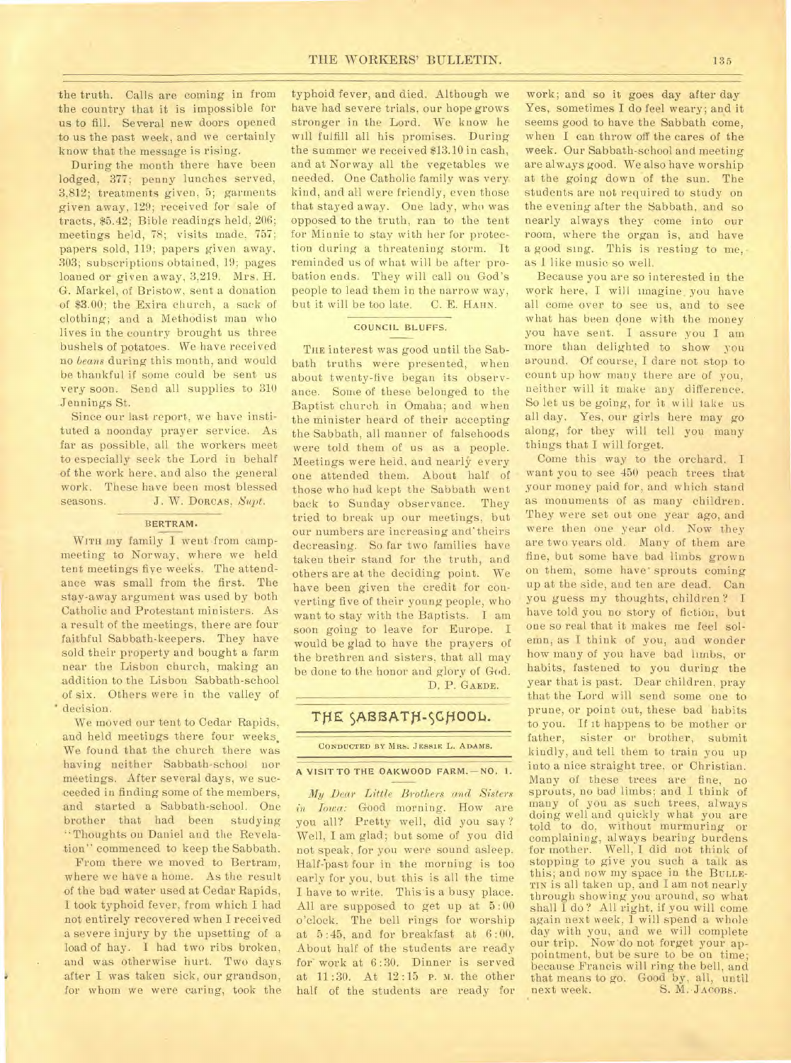the truth. Calls are coming in from the country that it is impossible for us to fill. Several new doors opened to us the past week, and we certainly know that the message is rising.

During the month there have been lodged, 377; penny lunches served, 3,812; treatments given, 5; garments given away, 129; received for sale of tracts, \$5.42; Bible readings held, 206; meetings held, 78; visits made, 757; papers sold, 119; papers given away, 303; subscriptions obtained, 19; pages loaned or given away, 3,219. Mrs. H. G. Markel, of Bristow, sent a donation of \$3.00; the Exira church, a sack of clothing; and a Methodist man who lives in the country brought us three bushels of potatoes. We have received no *beans* during this month, and would be thankful if some could be sent us very soon. Send all supplies to 310 Jennings St.

Since our last report., we have instituted a noonday prayer service. As far as possible, all the workers meet to especially seek the Lord in behalf of the work here, and also the general work. These have been most blessed seasons. J. W. Dorcas, Supt.

#### **BERTRAM.**

**WITH** my family I went from campmeeting to Norway, where we held tent meetings fiye weeks. The attendance was small from the first. The stay-away argument was used by both Catholic and Protestant ministers. As a result of the meetings, there are four faithful Sabbath-keepers. They have sold their property and bought a farm near the Lisbon church, making an addition to the Lisbon Sabbath-school of six. Others were in the valley of • decision.

We moved our tent to Cedar Rapids, and held meetings there four weeks, We found that the church there was having neither Sabbath-school nor meetings. After several days, we succeeded in finding some of the members, and started a Sabbath-school. One brother that had been studying "Thoughts on Daniel and the Revelation" commenced to keep the Sabbath.

From there we moved to Bertram, where we have a home. As the result of the bad water used at Cedar Rapids, I took typhoid fever, from which I had not entirely recovered when I received a severe injury by the upsetting of a load of hay. I had two ribs broken, and was otherwise hurt. Two days after I was taken sick, our grandson, for whom we were caring, took the

typhoid fever, and died. Although we have had severe trials, our hope grows stronger in the Lord. We know he will fulfill all his promises. During the summer we received \$13.10 in cash, and at Norway all the vegetables we needed. One Catholic family was very kind, and all were friendly, even those that stayed away. One lady, who was opposed to the truth, ran to the tent for Minnie to stay with her for protection during a threatening storm. It reminded us of what will be after probation ends. They will call on God's people to lead them in the narrow way, but it will be too late. C. E. HAHN.

#### **COUNCIL BLUFFS.**

**THE** interest was good until the Sabbath truths were presented, when about twenty-five began its observance. Some of these belonged to the Baptist church in Omaha; and when the minister heard of their accepting the Sabbath, all manner of falsehoods were told them of us as a people. Meetings were held, and nearly every one attended them. About half of those who had kept the Sabbath went back to Sunday observance. They tried to break up our meetings, but our numbers are increasing and' theirs decreasing. So far two families have taken their stand for the truth, and others are at the deciding point. We have been given the credit for converting five of their young people, who want to stay with the Baptists. I am soon going to leave for Europe. I would be glad to have the prayers of the brethren and sisters, that all may be done to the honor and glory of God. D. P. GAEDE.

# THE SABBATH-SCHOOL.

**CONDUCTED BY MRS. JESSIE L. ADAMS.** 

#### **A VISIT TO THE OAKWOOD FARM.—NO. I.**

*My Dear Little Brothers and Sisters in Iowa:* Good morning. How are you all? Pretty well, did you say ? Well, I am glad; but some of you did not speak, for you were sound asleep. Half past four in the morning is too early for you, but this is all the time I have to write. This is a busy place. All are supposed to get up at 5 : 00 o'clock. The bell rings for worship at 5:45, and for breakfast at 6:00. About half of the students are ready for' work at 6 :30. Dinner is served at 11:30. At 12 :15 **P.** M. the other half of the students are ready for

work; and so it goes day after day Yes, sometimes I do feel weary; and it seems good to have the Sabbath come, when I can throw off the cares of the week. Our Sabbath-school and meeting are always good. We also have worship at the going down of the sun. The students are not required to study on the evening after the Sabbath, and so nearly always they come into our room, where the organ is, and have a good sing. This is resting to me, as 1 like music so well.

Because you are so interested in the work here, I will imagine, you have all come over to see us, and to see what has been done with the money you have sent. I assure you I am more than delighted to show you around. Of course, I dare not stop to count up how many there are of you, neither will it make any difference. So let us be going, for it will take us all day. Yes, our girls here may go along, for they will tell you many things that I will forget.

Come this way to the orchard. I want you to see 450 peach trees that your money paid for, and which stand as monuments of as many children. They were set out one year ago, and were then one year old. Now they are two years old. Many of them are fine, but some have bad limbs grown on them, some have' sprouts coming up at the side, and ten are dead. Can you guess my thoughts, children ? I have told you no story of fiction, but one so real that it makes me feel solemn, as I think of you, and wonder how many of you have bad limbs, or habits, fastened to you during the year that is past. Dear children, pray that the Lord will send some one to prune, or point out, these bad habits to you. If it happens to be mother or father, sister or brother, submit kindly, and tell them to train you up into a nice straight tree, or Christian. Many of these trees are fine, no sprouts, no bad limbs; and I think of many of you as such trees, always doing well and quickly what you are told to do, without murmuring or complaining, always bearing burdens for mother. Well, I did not think of stopping to give you such a talk as this; and now my space in the **BULLE-TIN** is all taken up, and I am not nearly through showing you around, so what shall I do ? All right, if you will come again next week, 1 will spend a whole day with you, and we will complete our trip. Now'do not forget your appointment, but be sure to be on time; because Francis will ring the bell, and that means to go. Good by, all, until<br>next week. S. M. JAcops. S. M. JACOBS.